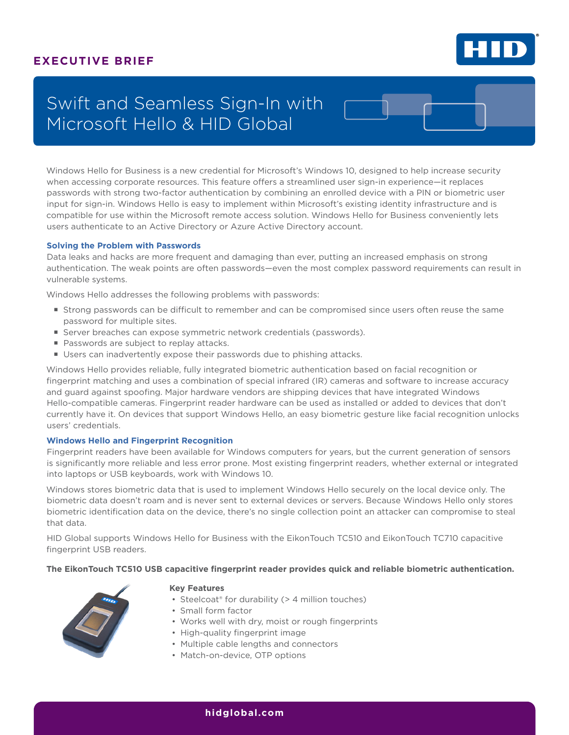### **EXECUTIVE BRIEF**



# Swift and Seamless Sign-In with Microsoft Hello & HID Global

Windows Hello for Business is a new credential for Microsoft's Windows 10, designed to help increase security when accessing corporate resources. This feature offers a streamlined user sign-in experience—it replaces passwords with strong two-factor authentication by combining an enrolled device with a PIN or biometric user input for sign-in. Windows Hello is easy to implement within Microsoft's existing identity infrastructure and is compatible for use within the Microsoft remote access solution. Windows Hello for Business conveniently lets users authenticate to an Active Directory or Azure Active Directory account.

#### **Solving the Problem with Passwords**

Data leaks and hacks are more frequent and damaging than ever, putting an increased emphasis on strong authentication. The weak points are often passwords—even the most complex password requirements can result in vulnerable systems.

Windows Hello addresses the following problems with passwords:

- **Strong passwords can be difficult to remember and can be compromised since users often reuse the same** password for multiple sites.
- Server breaches can expose symmetric network credentials (passwords).
- **Passwords are subject to replay attacks.**
- Users can inadvertently expose their passwords due to phishing attacks.

Windows Hello provides reliable, fully integrated biometric authentication based on facial recognition or fingerprint matching and uses a combination of special infrared (IR) cameras and software to increase accuracy and guard against spoofing. Major hardware vendors are shipping devices that have integrated Windows Hello-compatible cameras. Fingerprint reader hardware can be used as installed or added to devices that don't currently have it. On devices that support Windows Hello, an easy biometric gesture like facial recognition unlocks users' credentials.

#### **Windows Hello and Fingerprint Recognition**

Fingerprint readers have been available for Windows computers for years, but the current generation of sensors is significantly more reliable and less error prone. Most existing fingerprint readers, whether external or integrated into laptops or USB keyboards, work with Windows 10.

Windows stores biometric data that is used to implement Windows Hello securely on the local device only. The biometric data doesn't roam and is never sent to external devices or servers. Because Windows Hello only stores biometric identification data on the device, there's no single collection point an attacker can compromise to steal that data.

HID Global supports Windows Hello for Business with the EikonTouch TC510 and EikonTouch TC710 capacitive fingerprint USB readers.

#### **The EikonTouch TC510 USB capacitive fingerprint reader provides quick and reliable biometric authentication.**



#### **Key Features**

- Steelcoat<sup>®</sup> for durability (> 4 million touches)
- Small form factor
- Works well with dry, moist or rough fingerprints
- High-quality fingerprint image
- Multiple cable lengths and connectors
- Match-on-device, OTP options